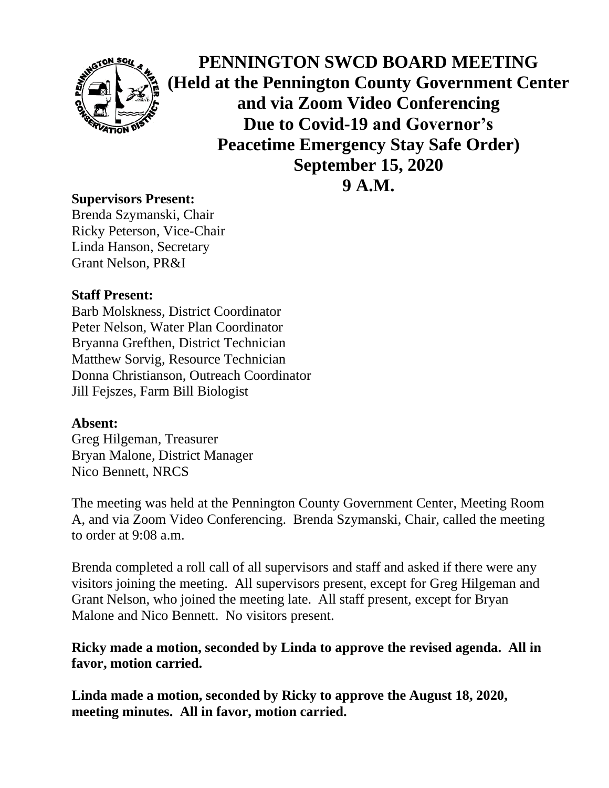

**PENNINGTON SWCD BOARD MEETING (Held at the Pennington County Government Center and via Zoom Video Conferencing Due to Covid-19 and Governor's Peacetime Emergency Stay Safe Order) September 15, 2020**

**9 A.M.**

### **Supervisors Present:**

Brenda Szymanski, Chair Ricky Peterson, Vice-Chair Linda Hanson, Secretary Grant Nelson, PR&I

### **Staff Present:**

Barb Molskness, District Coordinator Peter Nelson, Water Plan Coordinator Bryanna Grefthen, District Technician Matthew Sorvig, Resource Technician Donna Christianson, Outreach Coordinator Jill Fejszes, Farm Bill Biologist

### **Absent:**

Greg Hilgeman, Treasurer Bryan Malone, District Manager Nico Bennett, NRCS

The meeting was held at the Pennington County Government Center, Meeting Room A, and via Zoom Video Conferencing. Brenda Szymanski, Chair, called the meeting to order at 9:08 a.m.

Brenda completed a roll call of all supervisors and staff and asked if there were any visitors joining the meeting. All supervisors present, except for Greg Hilgeman and Grant Nelson, who joined the meeting late. All staff present, except for Bryan Malone and Nico Bennett. No visitors present.

# **Ricky made a motion, seconded by Linda to approve the revised agenda. All in favor, motion carried.**

**Linda made a motion, seconded by Ricky to approve the August 18, 2020, meeting minutes. All in favor, motion carried.**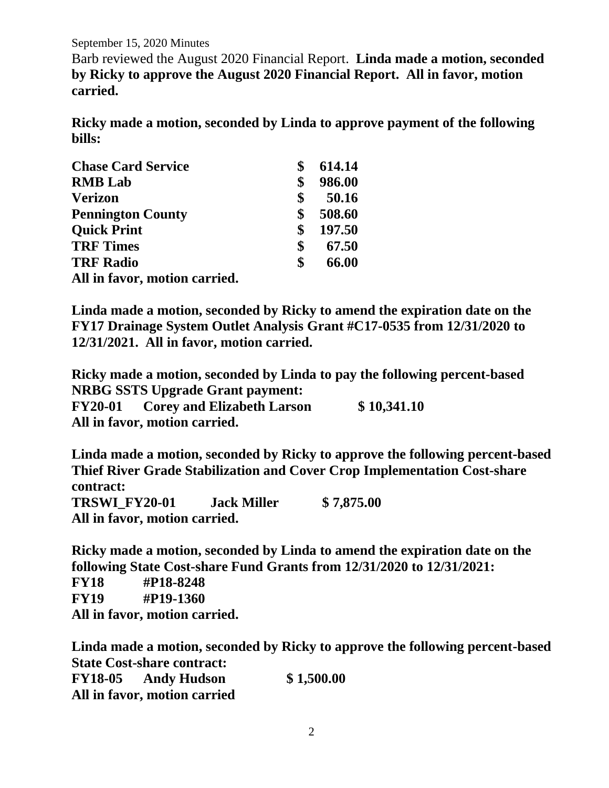September 15, 2020 Minutes

Barb reviewed the August 2020 Financial Report. **Linda made a motion, seconded by Ricky to approve the August 2020 Financial Report. All in favor, motion carried.**

**Ricky made a motion, seconded by Linda to approve payment of the following bills:**

| <b>Chase Card Service</b>     | 614.14       |
|-------------------------------|--------------|
| <b>RMB</b> Lab                | \$<br>986.00 |
| <b>Verizon</b>                | \$<br>50.16  |
| <b>Pennington County</b>      | \$<br>508.60 |
| <b>Quick Print</b>            | \$<br>197.50 |
| <b>TRF Times</b>              | \$<br>67.50  |
| <b>TRF Radio</b>              | \$<br>66.00  |
| All in favor, motion carried. |              |

**Linda made a motion, seconded by Ricky to amend the expiration date on the FY17 Drainage System Outlet Analysis Grant #C17-0535 from 12/31/2020 to 12/31/2021. All in favor, motion carried.**

**Ricky made a motion, seconded by Linda to pay the following percent-based NRBG SSTS Upgrade Grant payment: FY20-01 Corey and Elizabeth Larson \$ 10,341.10 All in favor, motion carried.**

**Linda made a motion, seconded by Ricky to approve the following percent-based Thief River Grade Stabilization and Cover Crop Implementation Cost-share contract: TRSWI\_FY20-01 Jack Miller \$ 7,875.00 All in favor, motion carried.**

**Ricky made a motion, seconded by Linda to amend the expiration date on the following State Cost-share Fund Grants from 12/31/2020 to 12/31/2021: FY18 #P18-8248 FY19 #P19-1360**

**All in favor, motion carried.**

**Linda made a motion, seconded by Ricky to approve the following percent-based State Cost-share contract:**

**FY18-05 Andy Hudson \$ 1,500.00 All in favor, motion carried**